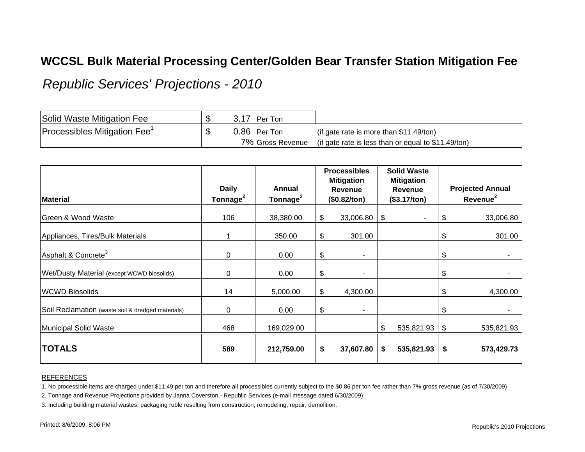## **WCCSL Bulk Material Processing Center/Golden Bear Transfer Station Mitigation Fee**

*Republic Services' Projections - 2010*

| Solid Waste Mitigation Fee               | Per Ton          |                                                     |
|------------------------------------------|------------------|-----------------------------------------------------|
| Processibles Mitigation Fee <sup>1</sup> | 0.86 Per Ton     | (if gate rate is more than \$11.49/ton)             |
|                                          | 7% Gross Revenue | (if gate rate is less than or equal to \$11.49/ton) |

| <b>Material</b>                                   | <b>Daily</b><br>Tonnage <sup>2</sup> | Annual<br>Tonnage <sup>2</sup> | <b>Processibles</b><br><b>Mitigation</b><br><b>Revenue</b><br>(\$0.82/ton) | <b>Solid Waste</b><br><b>Mitigation</b><br><b>Revenue</b><br>(\$3.17/ton) |            | <b>Projected Annual</b><br>Revenue <sup>2</sup> |            |
|---------------------------------------------------|--------------------------------------|--------------------------------|----------------------------------------------------------------------------|---------------------------------------------------------------------------|------------|-------------------------------------------------|------------|
|                                                   |                                      |                                |                                                                            |                                                                           |            |                                                 |            |
| <b>Green &amp; Wood Waste</b>                     | 106                                  | 38,380.00                      | \$<br>33,006.80                                                            | \$                                                                        |            | \$                                              | 33,006.80  |
| Appliances, Tires/Bulk Materials                  |                                      | 350.00                         | \$<br>301.00                                                               |                                                                           |            | \$                                              | 301.00     |
| Asphalt & Concrete <sup>3</sup>                   | 0                                    | 0.00                           | \$<br>٠                                                                    |                                                                           |            | \$                                              |            |
| Wet/Dusty Material (except WCWD biosolids)        | 0                                    | 0.00                           | \$<br>٠                                                                    |                                                                           |            | \$                                              |            |
| <b>WCWD Biosolids</b>                             | 14                                   | 5,000.00                       | \$<br>4,300.00                                                             |                                                                           |            | \$                                              | 4,300.00   |
| Soil Reclamation (waste soil & dredged materials) | 0                                    | 0.00                           | \$<br>۰                                                                    |                                                                           |            | \$                                              |            |
| Municipal Solid Waste                             | 468                                  | 169,029.00                     |                                                                            | \$                                                                        | 535,821.93 | $\sqrt{3}$                                      | 535,821.93 |
| <b>TOTALS</b>                                     | 589                                  | 212,759.00                     | \$<br>37,607.80                                                            | \$                                                                        | 535,821.93 | -\$                                             | 573,429.73 |

## REFERENCES

1. No processible items are charged under \$11.49 per ton and therefore all processibles currently subject to the \$0.86 per ton fee rather than 7% gross revenue (as of 7/30/2009)

2. Tonnage and Revenue Projections provided by Janna Coverston - Republic Services (e-mail message dated 6/30/2009)

3. Including building material wastes, packaging ruble resulting from construction, remodeling, repair, demolition.